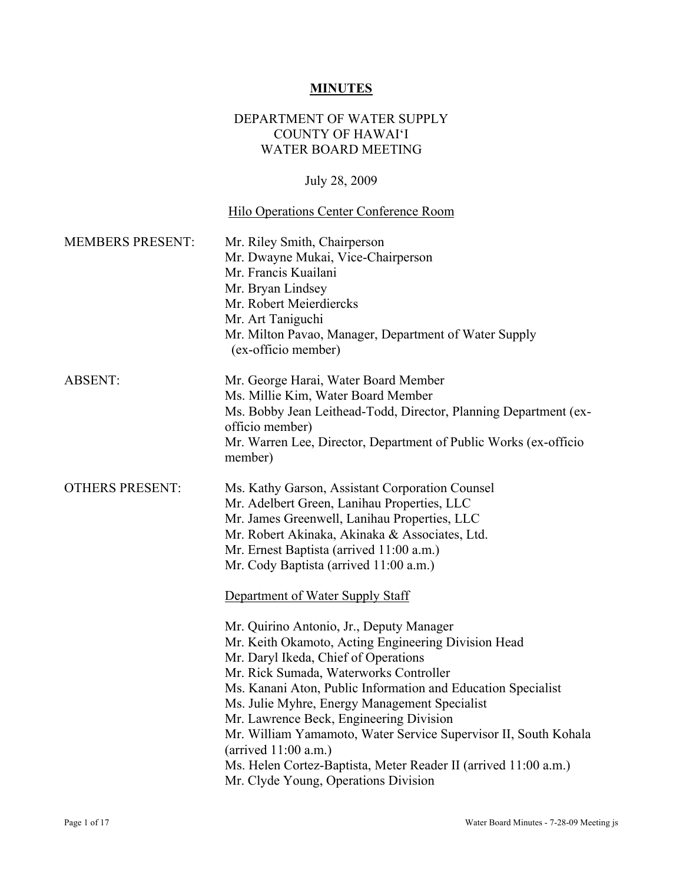### **MINUTES**

#### DEPARTMENT OF WATER SUPPLY COUNTY OF HAWAI'I WATER BOARD MEETING

# July 28, 2009

# Hilo Operations Center Conference Room

| <b>MEMBERS PRESENT:</b> | Mr. Riley Smith, Chairperson<br>Mr. Dwayne Mukai, Vice-Chairperson<br>Mr. Francis Kuailani<br>Mr. Bryan Lindsey<br>Mr. Robert Meierdiercks<br>Mr. Art Taniguchi<br>Mr. Milton Pavao, Manager, Department of Water Supply<br>(ex-officio member)                                                                                                                                                                                                                                                                                                                                                                                                                                                                                                                          |
|-------------------------|--------------------------------------------------------------------------------------------------------------------------------------------------------------------------------------------------------------------------------------------------------------------------------------------------------------------------------------------------------------------------------------------------------------------------------------------------------------------------------------------------------------------------------------------------------------------------------------------------------------------------------------------------------------------------------------------------------------------------------------------------------------------------|
| <b>ABSENT:</b>          | Mr. George Harai, Water Board Member<br>Ms. Millie Kim, Water Board Member<br>Ms. Bobby Jean Leithead-Todd, Director, Planning Department (ex-<br>officio member)<br>Mr. Warren Lee, Director, Department of Public Works (ex-officio<br>member)                                                                                                                                                                                                                                                                                                                                                                                                                                                                                                                         |
| <b>OTHERS PRESENT:</b>  | Ms. Kathy Garson, Assistant Corporation Counsel<br>Mr. Adelbert Green, Lanihau Properties, LLC<br>Mr. James Greenwell, Lanihau Properties, LLC<br>Mr. Robert Akinaka, Akinaka & Associates, Ltd.<br>Mr. Ernest Baptista (arrived 11:00 a.m.)<br>Mr. Cody Baptista (arrived 11:00 a.m.)<br>Department of Water Supply Staff<br>Mr. Quirino Antonio, Jr., Deputy Manager<br>Mr. Keith Okamoto, Acting Engineering Division Head<br>Mr. Daryl Ikeda, Chief of Operations<br>Mr. Rick Sumada, Waterworks Controller<br>Ms. Kanani Aton, Public Information and Education Specialist<br>Ms. Julie Myhre, Energy Management Specialist<br>Mr. Lawrence Beck, Engineering Division<br>Mr. William Yamamoto, Water Service Supervisor II, South Kohala<br>(arrived $11:00$ a.m.) |
|                         | Ms. Helen Cortez-Baptista, Meter Reader II (arrived 11:00 a.m.)<br>Mr. Clyde Young, Operations Division                                                                                                                                                                                                                                                                                                                                                                                                                                                                                                                                                                                                                                                                  |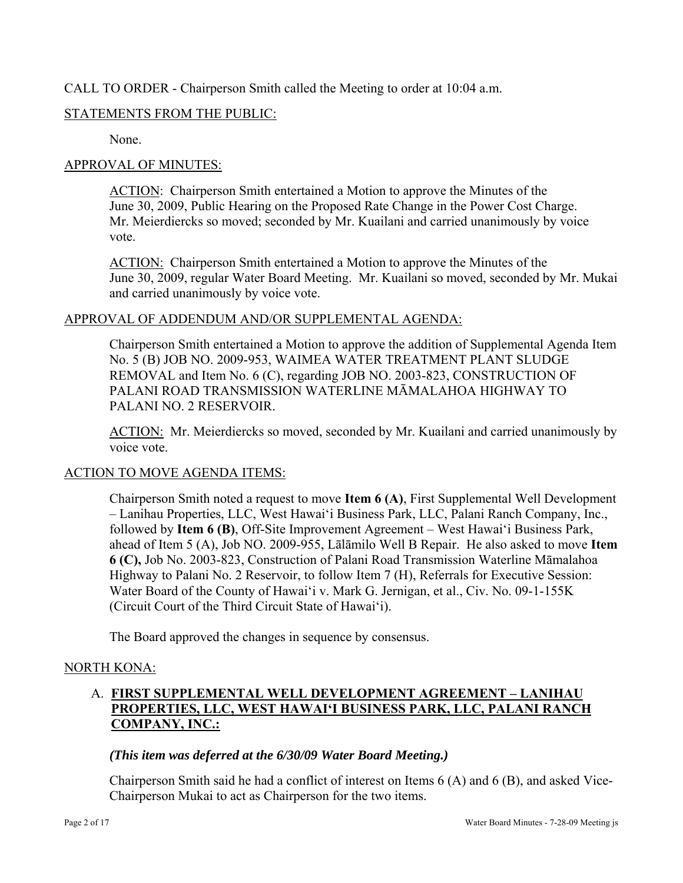### CALL TO ORDER - Chairperson Smith called the Meeting to order at 10:04 a.m.

### STATEMENTS FROM THE PUBLIC:

None.

### APPROVAL OF MINUTES:

ACTION: Chairperson Smith entertained a Motion to approve the Minutes of the June 30, 2009, Public Hearing on the Proposed Rate Change in the Power Cost Charge. Mr. Meierdiercks so moved; seconded by Mr. Kuailani and carried unanimously by voice vote.

ACTION: Chairperson Smith entertained a Motion to approve the Minutes of the June 30, 2009, regular Water Board Meeting. Mr. Kuailani so moved, seconded by Mr. Mukai and carried unanimously by voice vote.

#### APPROVAL OF ADDENDUM AND/OR SUPPLEMENTAL AGENDA:

Chairperson Smith entertained a Motion to approve the addition of Supplemental Agenda Item No. 5 (B) JOB NO. 2009-953, WAIMEA WATER TREATMENT PLANT SLUDGE REMOVAL and Item No. 6 (C), regarding JOB NO. 2003-823, CONSTRUCTION OF PALANI ROAD TRANSMISSION WATERLINE MĀMALAHOA HIGHWAY TO PALANI NO. 2 RESERVOIR.

ACTION: Mr. Meierdiercks so moved, seconded by Mr. Kuailani and carried unanimously by voice vote.

### ACTION TO MOVE AGENDA ITEMS:

Chairperson Smith noted a request to move **Item 6 (A)**, First Supplemental Well Development – Lanihau Properties, LLC, West Hawai'i Business Park, LLC, Palani Ranch Company, Inc., followed by **Item 6 (B)**, Off-Site Improvement Agreement – West Hawai'i Business Park, ahead of Item 5 (A), Job NO. 2009-955, Lālāmilo Well B Repair. He also asked to move **Item 6 (C),** Job No. 2003-823, Construction of Palani Road Transmission Waterline Māmalahoa Highway to Palani No. 2 Reservoir, to follow Item 7 (H), Referrals for Executive Session: Water Board of the County of Hawai'i v. Mark G. Jernigan, et al., Civ. No. 09-1-155K (Circuit Court of the Third Circuit State of Hawai'i).

The Board approved the changes in sequence by consensus.

### NORTH KONA:

# A. **FIRST SUPPLEMENTAL WELL DEVELOPMENT AGREEMENT – LANIHAU PROPERTIES, LLC, WEST HAWAI'I BUSINESS PARK, LLC, PALANI RANCH COMPANY, INC.:**

### *(This item was deferred at the 6/30/09 Water Board Meeting.)*

Chairperson Smith said he had a conflict of interest on Items 6 (A) and 6 (B), and asked Vice-Chairperson Mukai to act as Chairperson for the two items.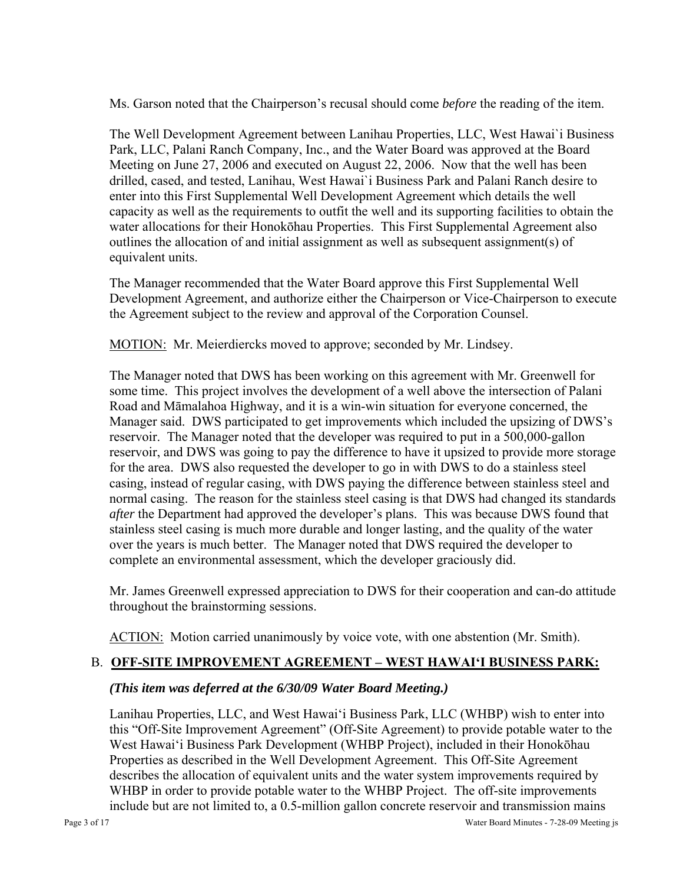Ms. Garson noted that the Chairperson's recusal should come *before* the reading of the item.

The Well Development Agreement between Lanihau Properties, LLC, West Hawai`i Business Park, LLC, Palani Ranch Company, Inc., and the Water Board was approved at the Board Meeting on June 27, 2006 and executed on August 22, 2006. Now that the well has been drilled, cased, and tested, Lanihau, West Hawai`i Business Park and Palani Ranch desire to enter into this First Supplemental Well Development Agreement which details the well capacity as well as the requirements to outfit the well and its supporting facilities to obtain the water allocations for their Honokōhau Properties. This First Supplemental Agreement also outlines the allocation of and initial assignment as well as subsequent assignment(s) of equivalent units.

The Manager recommended that the Water Board approve this First Supplemental Well Development Agreement, and authorize either the Chairperson or Vice-Chairperson to execute the Agreement subject to the review and approval of the Corporation Counsel.

MOTION: Mr. Meierdiercks moved to approve; seconded by Mr. Lindsey.

The Manager noted that DWS has been working on this agreement with Mr. Greenwell for some time. This project involves the development of a well above the intersection of Palani Road and Māmalahoa Highway, and it is a win-win situation for everyone concerned, the Manager said. DWS participated to get improvements which included the upsizing of DWS's reservoir. The Manager noted that the developer was required to put in a 500,000-gallon reservoir, and DWS was going to pay the difference to have it upsized to provide more storage for the area. DWS also requested the developer to go in with DWS to do a stainless steel casing, instead of regular casing, with DWS paying the difference between stainless steel and normal casing. The reason for the stainless steel casing is that DWS had changed its standards *after* the Department had approved the developer's plans. This was because DWS found that stainless steel casing is much more durable and longer lasting, and the quality of the water over the years is much better. The Manager noted that DWS required the developer to complete an environmental assessment, which the developer graciously did.

Mr. James Greenwell expressed appreciation to DWS for their cooperation and can-do attitude throughout the brainstorming sessions.

ACTION: Motion carried unanimously by voice vote, with one abstention (Mr. Smith).

### B. **OFF-SITE IMPROVEMENT AGREEMENT – WEST HAWAI'I BUSINESS PARK:**

### *(This item was deferred at the 6/30/09 Water Board Meeting.)*

Lanihau Properties, LLC, and West Hawai'i Business Park, LLC (WHBP) wish to enter into this "Off-Site Improvement Agreement" (Off-Site Agreement) to provide potable water to the West Hawai'i Business Park Development (WHBP Project), included in their Honokōhau Properties as described in the Well Development Agreement. This Off-Site Agreement describes the allocation of equivalent units and the water system improvements required by WHBP in order to provide potable water to the WHBP Project. The off-site improvements include but are not limited to, a 0.5-million gallon concrete reservoir and transmission mains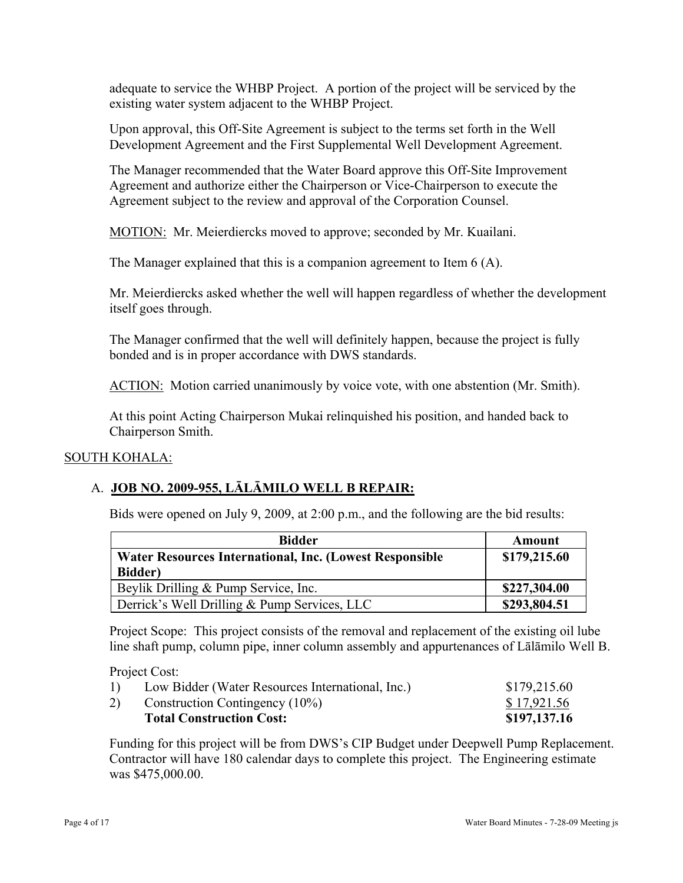adequate to service the WHBP Project. A portion of the project will be serviced by the existing water system adjacent to the WHBP Project.

Upon approval, this Off-Site Agreement is subject to the terms set forth in the Well Development Agreement and the First Supplemental Well Development Agreement.

The Manager recommended that the Water Board approve this Off-Site Improvement Agreement and authorize either the Chairperson or Vice-Chairperson to execute the Agreement subject to the review and approval of the Corporation Counsel.

MOTION: Mr. Meierdiercks moved to approve; seconded by Mr. Kuailani.

The Manager explained that this is a companion agreement to Item 6 (A).

Mr. Meierdiercks asked whether the well will happen regardless of whether the development itself goes through.

The Manager confirmed that the well will definitely happen, because the project is fully bonded and is in proper accordance with DWS standards.

ACTION: Motion carried unanimously by voice vote, with one abstention (Mr. Smith).

At this point Acting Chairperson Mukai relinquished his position, and handed back to Chairperson Smith.

#### SOUTH KOHALA:

### A. **JOB NO. 2009-955, LĀLĀMILO WELL B REPAIR:**

Bids were opened on July 9, 2009, at 2:00 p.m., and the following are the bid results:

| <b>Bidder</b>                                           | Amount       |
|---------------------------------------------------------|--------------|
| Water Resources International, Inc. (Lowest Responsible | \$179,215.60 |
| <b>Bidder</b> )                                         |              |
| Beylik Drilling & Pump Service, Inc.                    | \$227,304.00 |
| Derrick's Well Drilling & Pump Services, LLC            | \$293,804.51 |

Project Scope: This project consists of the removal and replacement of the existing oil lube line shaft pump, column pipe, inner column assembly and appurtenances of Lālāmilo Well B.

Project Cost:

| <b>Total Construction Cost:</b>                        | \$197,137.16 |
|--------------------------------------------------------|--------------|
| Construction Contingency (10%)<br>2)                   | \$17,921.56  |
| Low Bidder (Water Resources International, Inc.)<br>1) | \$179,215.60 |

Funding for this project will be from DWS's CIP Budget under Deepwell Pump Replacement. Contractor will have 180 calendar days to complete this project. The Engineering estimate was \$475,000.00.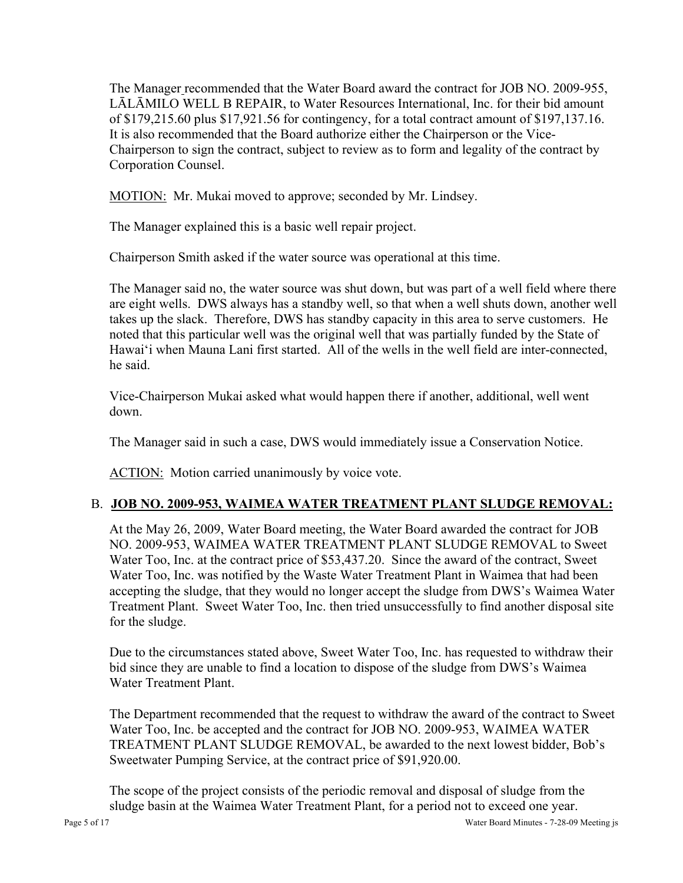The Manager recommended that the Water Board award the contract for JOB NO. 2009-955, LĀLĀMILO WELL B REPAIR, to Water Resources International, Inc. for their bid amount of \$179,215.60 plus \$17,921.56 for contingency, for a total contract amount of \$197,137.16. It is also recommended that the Board authorize either the Chairperson or the Vice-Chairperson to sign the contract, subject to review as to form and legality of the contract by Corporation Counsel.

MOTION: Mr. Mukai moved to approve; seconded by Mr. Lindsey.

The Manager explained this is a basic well repair project.

Chairperson Smith asked if the water source was operational at this time.

The Manager said no, the water source was shut down, but was part of a well field where there are eight wells. DWS always has a standby well, so that when a well shuts down, another well takes up the slack. Therefore, DWS has standby capacity in this area to serve customers. He noted that this particular well was the original well that was partially funded by the State of Hawai'i when Mauna Lani first started. All of the wells in the well field are inter-connected, he said.

Vice-Chairperson Mukai asked what would happen there if another, additional, well went down.

The Manager said in such a case, DWS would immediately issue a Conservation Notice.

ACTION: Motion carried unanimously by voice vote.

# B. **JOB NO. 2009-953, WAIMEA WATER TREATMENT PLANT SLUDGE REMOVAL:**

At the May 26, 2009, Water Board meeting, the Water Board awarded the contract for JOB NO. 2009-953, WAIMEA WATER TREATMENT PLANT SLUDGE REMOVAL to Sweet Water Too, Inc. at the contract price of \$53,437.20. Since the award of the contract, Sweet Water Too, Inc. was notified by the Waste Water Treatment Plant in Waimea that had been accepting the sludge, that they would no longer accept the sludge from DWS's Waimea Water Treatment Plant. Sweet Water Too, Inc. then tried unsuccessfully to find another disposal site for the sludge.

Due to the circumstances stated above, Sweet Water Too, Inc. has requested to withdraw their bid since they are unable to find a location to dispose of the sludge from DWS's Waimea Water Treatment Plant.

The Department recommended that the request to withdraw the award of the contract to Sweet Water Too, Inc. be accepted and the contract for JOB NO. 2009-953, WAIMEA WATER TREATMENT PLANT SLUDGE REMOVAL, be awarded to the next lowest bidder, Bob's Sweetwater Pumping Service, at the contract price of \$91,920.00.

The scope of the project consists of the periodic removal and disposal of sludge from the sludge basin at the Waimea Water Treatment Plant, for a period not to exceed one year.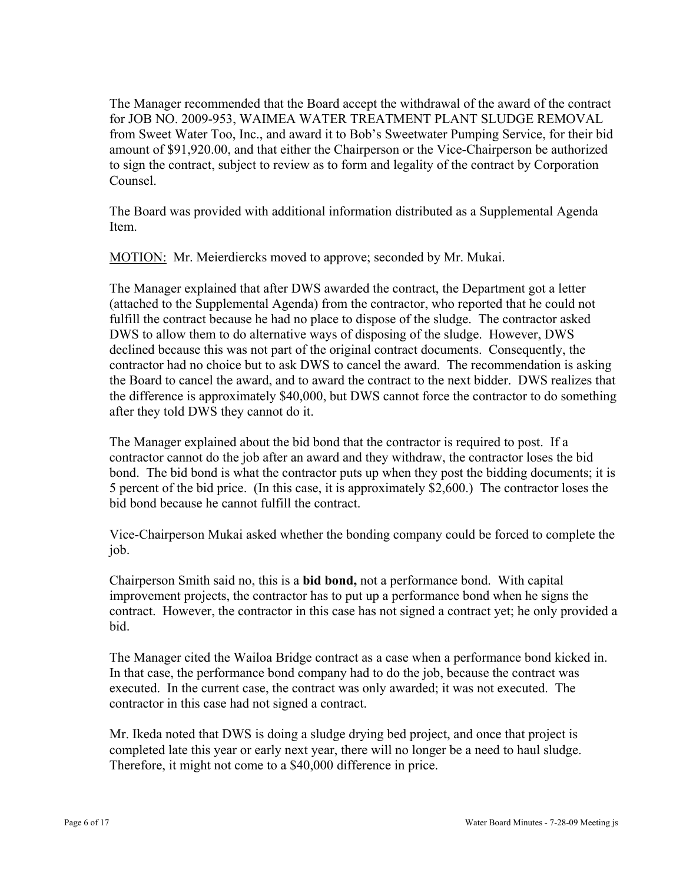The Manager recommended that the Board accept the withdrawal of the award of the contract for JOB NO. 2009-953, WAIMEA WATER TREATMENT PLANT SLUDGE REMOVAL from Sweet Water Too, Inc., and award it to Bob's Sweetwater Pumping Service, for their bid amount of \$91,920.00, and that either the Chairperson or the Vice-Chairperson be authorized to sign the contract, subject to review as to form and legality of the contract by Corporation Counsel.

The Board was provided with additional information distributed as a Supplemental Agenda **Item** 

MOTION: Mr. Meierdiercks moved to approve; seconded by Mr. Mukai.

The Manager explained that after DWS awarded the contract, the Department got a letter (attached to the Supplemental Agenda) from the contractor, who reported that he could not fulfill the contract because he had no place to dispose of the sludge. The contractor asked DWS to allow them to do alternative ways of disposing of the sludge. However, DWS declined because this was not part of the original contract documents. Consequently, the contractor had no choice but to ask DWS to cancel the award. The recommendation is asking the Board to cancel the award, and to award the contract to the next bidder. DWS realizes that the difference is approximately \$40,000, but DWS cannot force the contractor to do something after they told DWS they cannot do it.

The Manager explained about the bid bond that the contractor is required to post. If a contractor cannot do the job after an award and they withdraw, the contractor loses the bid bond. The bid bond is what the contractor puts up when they post the bidding documents; it is 5 percent of the bid price. (In this case, it is approximately \$2,600.) The contractor loses the bid bond because he cannot fulfill the contract.

Vice-Chairperson Mukai asked whether the bonding company could be forced to complete the job.

Chairperson Smith said no, this is a **bid bond,** not a performance bond. With capital improvement projects, the contractor has to put up a performance bond when he signs the contract. However, the contractor in this case has not signed a contract yet; he only provided a bid.

The Manager cited the Wailoa Bridge contract as a case when a performance bond kicked in. In that case, the performance bond company had to do the job, because the contract was executed. In the current case, the contract was only awarded; it was not executed. The contractor in this case had not signed a contract.

Mr. Ikeda noted that DWS is doing a sludge drying bed project, and once that project is completed late this year or early next year, there will no longer be a need to haul sludge. Therefore, it might not come to a \$40,000 difference in price.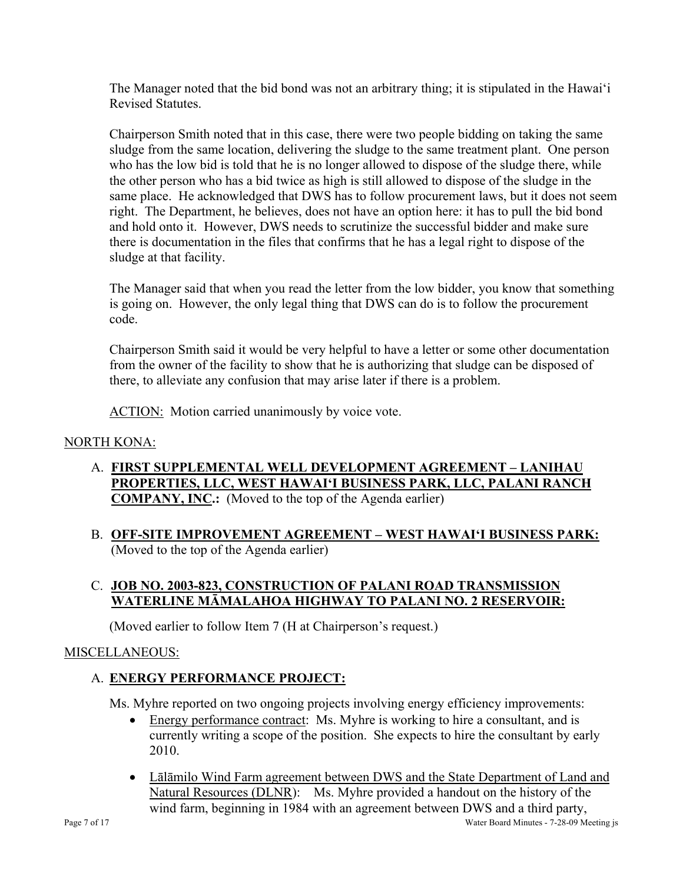The Manager noted that the bid bond was not an arbitrary thing; it is stipulated in the Hawai'i Revised Statutes.

Chairperson Smith noted that in this case, there were two people bidding on taking the same sludge from the same location, delivering the sludge to the same treatment plant. One person who has the low bid is told that he is no longer allowed to dispose of the sludge there, while the other person who has a bid twice as high is still allowed to dispose of the sludge in the same place. He acknowledged that DWS has to follow procurement laws, but it does not seem right. The Department, he believes, does not have an option here: it has to pull the bid bond and hold onto it. However, DWS needs to scrutinize the successful bidder and make sure there is documentation in the files that confirms that he has a legal right to dispose of the sludge at that facility.

The Manager said that when you read the letter from the low bidder, you know that something is going on. However, the only legal thing that DWS can do is to follow the procurement code.

Chairperson Smith said it would be very helpful to have a letter or some other documentation from the owner of the facility to show that he is authorizing that sludge can be disposed of there, to alleviate any confusion that may arise later if there is a problem.

ACTION: Motion carried unanimously by voice vote.

### NORTH KONA:

- A. **FIRST SUPPLEMENTAL WELL DEVELOPMENT AGREEMENT LANIHAU PROPERTIES, LLC, WEST HAWAI'I BUSINESS PARK, LLC, PALANI RANCH COMPANY, INC.:** (Moved to the top of the Agenda earlier)
- B. **OFF-SITE IMPROVEMENT AGREEMENT WEST HAWAI'I BUSINESS PARK:**  (Moved to the top of the Agenda earlier)

### C. **JOB NO. 2003-823, CONSTRUCTION OF PALANI ROAD TRANSMISSION WATERLINE MĀMALAHOA HIGHWAY TO PALANI NO. 2 RESERVOIR:**

(Moved earlier to follow Item 7 (H at Chairperson's request.)

### MISCELLANEOUS:

# A. **ENERGY PERFORMANCE PROJECT:**

Ms. Myhre reported on two ongoing projects involving energy efficiency improvements:

- Energy performance contract: Ms. Myhre is working to hire a consultant, and is currently writing a scope of the position. She expects to hire the consultant by early 2010.
- Lālāmilo Wind Farm agreement between DWS and the State Department of Land and Natural Resources (DLNR): Ms. Myhre provided a handout on the history of the wind farm, beginning in 1984 with an agreement between DWS and a third party,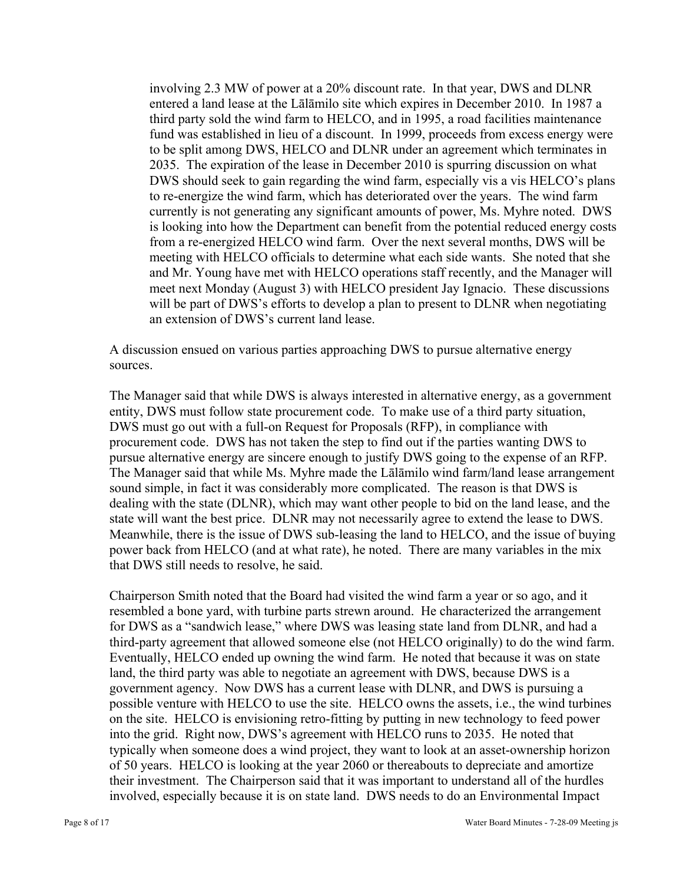involving 2.3 MW of power at a 20% discount rate. In that year, DWS and DLNR entered a land lease at the Lālāmilo site which expires in December 2010. In 1987 a third party sold the wind farm to HELCO, and in 1995, a road facilities maintenance fund was established in lieu of a discount. In 1999, proceeds from excess energy were to be split among DWS, HELCO and DLNR under an agreement which terminates in 2035. The expiration of the lease in December 2010 is spurring discussion on what DWS should seek to gain regarding the wind farm, especially vis a vis HELCO's plans to re-energize the wind farm, which has deteriorated over the years. The wind farm currently is not generating any significant amounts of power, Ms. Myhre noted. DWS is looking into how the Department can benefit from the potential reduced energy costs from a re-energized HELCO wind farm. Over the next several months, DWS will be meeting with HELCO officials to determine what each side wants. She noted that she and Mr. Young have met with HELCO operations staff recently, and the Manager will meet next Monday (August 3) with HELCO president Jay Ignacio. These discussions will be part of DWS's efforts to develop a plan to present to DLNR when negotiating an extension of DWS's current land lease.

A discussion ensued on various parties approaching DWS to pursue alternative energy sources.

The Manager said that while DWS is always interested in alternative energy, as a government entity, DWS must follow state procurement code. To make use of a third party situation, DWS must go out with a full-on Request for Proposals (RFP), in compliance with procurement code. DWS has not taken the step to find out if the parties wanting DWS to pursue alternative energy are sincere enough to justify DWS going to the expense of an RFP. The Manager said that while Ms. Myhre made the Lālāmilo wind farm/land lease arrangement sound simple, in fact it was considerably more complicated. The reason is that DWS is dealing with the state (DLNR), which may want other people to bid on the land lease, and the state will want the best price. DLNR may not necessarily agree to extend the lease to DWS. Meanwhile, there is the issue of DWS sub-leasing the land to HELCO, and the issue of buying power back from HELCO (and at what rate), he noted. There are many variables in the mix that DWS still needs to resolve, he said.

Chairperson Smith noted that the Board had visited the wind farm a year or so ago, and it resembled a bone yard, with turbine parts strewn around. He characterized the arrangement for DWS as a "sandwich lease," where DWS was leasing state land from DLNR, and had a third-party agreement that allowed someone else (not HELCO originally) to do the wind farm. Eventually, HELCO ended up owning the wind farm. He noted that because it was on state land, the third party was able to negotiate an agreement with DWS, because DWS is a government agency. Now DWS has a current lease with DLNR, and DWS is pursuing a possible venture with HELCO to use the site. HELCO owns the assets, i.e., the wind turbines on the site. HELCO is envisioning retro-fitting by putting in new technology to feed power into the grid. Right now, DWS's agreement with HELCO runs to 2035. He noted that typically when someone does a wind project, they want to look at an asset-ownership horizon of 50 years. HELCO is looking at the year 2060 or thereabouts to depreciate and amortize their investment. The Chairperson said that it was important to understand all of the hurdles involved, especially because it is on state land. DWS needs to do an Environmental Impact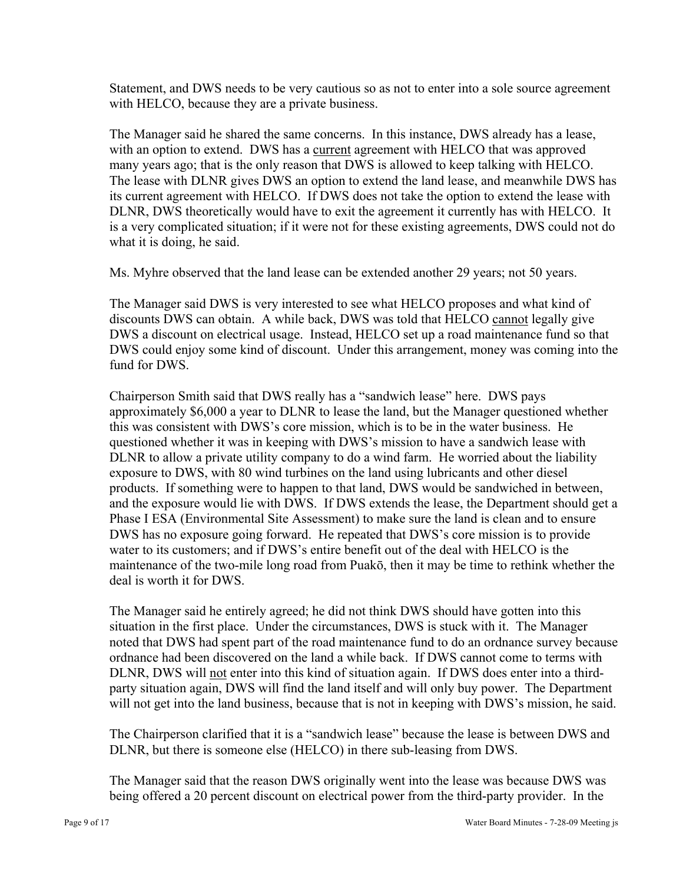Statement, and DWS needs to be very cautious so as not to enter into a sole source agreement with HELCO, because they are a private business.

The Manager said he shared the same concerns. In this instance, DWS already has a lease, with an option to extend. DWS has a current agreement with HELCO that was approved many years ago; that is the only reason that DWS is allowed to keep talking with HELCO. The lease with DLNR gives DWS an option to extend the land lease, and meanwhile DWS has its current agreement with HELCO. If DWS does not take the option to extend the lease with DLNR, DWS theoretically would have to exit the agreement it currently has with HELCO. It is a very complicated situation; if it were not for these existing agreements, DWS could not do what it is doing, he said.

Ms. Myhre observed that the land lease can be extended another 29 years; not 50 years.

The Manager said DWS is very interested to see what HELCO proposes and what kind of discounts DWS can obtain. A while back, DWS was told that HELCO cannot legally give DWS a discount on electrical usage. Instead, HELCO set up a road maintenance fund so that DWS could enjoy some kind of discount. Under this arrangement, money was coming into the fund for DWS

Chairperson Smith said that DWS really has a "sandwich lease" here. DWS pays approximately \$6,000 a year to DLNR to lease the land, but the Manager questioned whether this was consistent with DWS's core mission, which is to be in the water business. He questioned whether it was in keeping with DWS's mission to have a sandwich lease with DLNR to allow a private utility company to do a wind farm. He worried about the liability exposure to DWS, with 80 wind turbines on the land using lubricants and other diesel products. If something were to happen to that land, DWS would be sandwiched in between, and the exposure would lie with DWS. If DWS extends the lease, the Department should get a Phase I ESA (Environmental Site Assessment) to make sure the land is clean and to ensure DWS has no exposure going forward. He repeated that DWS's core mission is to provide water to its customers; and if DWS's entire benefit out of the deal with HELCO is the maintenance of the two-mile long road from Puakō, then it may be time to rethink whether the deal is worth it for DWS.

The Manager said he entirely agreed; he did not think DWS should have gotten into this situation in the first place. Under the circumstances, DWS is stuck with it. The Manager noted that DWS had spent part of the road maintenance fund to do an ordnance survey because ordnance had been discovered on the land a while back. If DWS cannot come to terms with DLNR, DWS will not enter into this kind of situation again. If DWS does enter into a thirdparty situation again, DWS will find the land itself and will only buy power. The Department will not get into the land business, because that is not in keeping with DWS's mission, he said.

The Chairperson clarified that it is a "sandwich lease" because the lease is between DWS and DLNR, but there is someone else (HELCO) in there sub-leasing from DWS.

The Manager said that the reason DWS originally went into the lease was because DWS was being offered a 20 percent discount on electrical power from the third-party provider. In the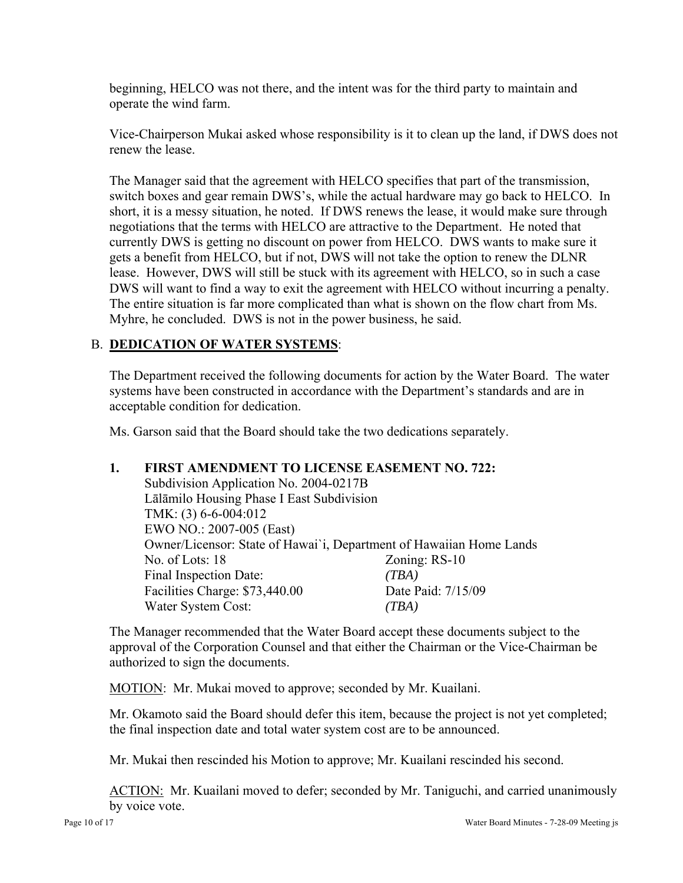beginning, HELCO was not there, and the intent was for the third party to maintain and operate the wind farm.

Vice-Chairperson Mukai asked whose responsibility is it to clean up the land, if DWS does not renew the lease.

The Manager said that the agreement with HELCO specifies that part of the transmission, switch boxes and gear remain DWS's, while the actual hardware may go back to HELCO. In short, it is a messy situation, he noted. If DWS renews the lease, it would make sure through negotiations that the terms with HELCO are attractive to the Department. He noted that currently DWS is getting no discount on power from HELCO. DWS wants to make sure it gets a benefit from HELCO, but if not, DWS will not take the option to renew the DLNR lease. However, DWS will still be stuck with its agreement with HELCO, so in such a case DWS will want to find a way to exit the agreement with HELCO without incurring a penalty. The entire situation is far more complicated than what is shown on the flow chart from Ms. Myhre, he concluded. DWS is not in the power business, he said.

### B. **DEDICATION OF WATER SYSTEMS**:

The Department received the following documents for action by the Water Board. The water systems have been constructed in accordance with the Department's standards and are in acceptable condition for dedication.

Ms. Garson said that the Board should take the two dedications separately.

### **1. FIRST AMENDMENT TO LICENSE EASEMENT NO. 722:**

Subdivision Application No. 2004-0217B Lālāmilo Housing Phase I East Subdivision TMK: (3) 6-6-004:012 EWO NO.: 2007-005 (East) Owner/Licensor: State of Hawai`i, Department of Hawaiian Home Lands No. of Lots: 18 Zoning: RS-10 Final Inspection Date: *(TBA)* Facilities Charge: \$73,440.00 Date Paid: 7/15/09 Water System Cost: *(TBA)*

The Manager recommended that the Water Board accept these documents subject to the approval of the Corporation Counsel and that either the Chairman or the Vice-Chairman be authorized to sign the documents.

MOTION: Mr. Mukai moved to approve; seconded by Mr. Kuailani.

Mr. Okamoto said the Board should defer this item, because the project is not yet completed; the final inspection date and total water system cost are to be announced.

Mr. Mukai then rescinded his Motion to approve; Mr. Kuailani rescinded his second.

ACTION: Mr. Kuailani moved to defer; seconded by Mr. Taniguchi, and carried unanimously by voice vote.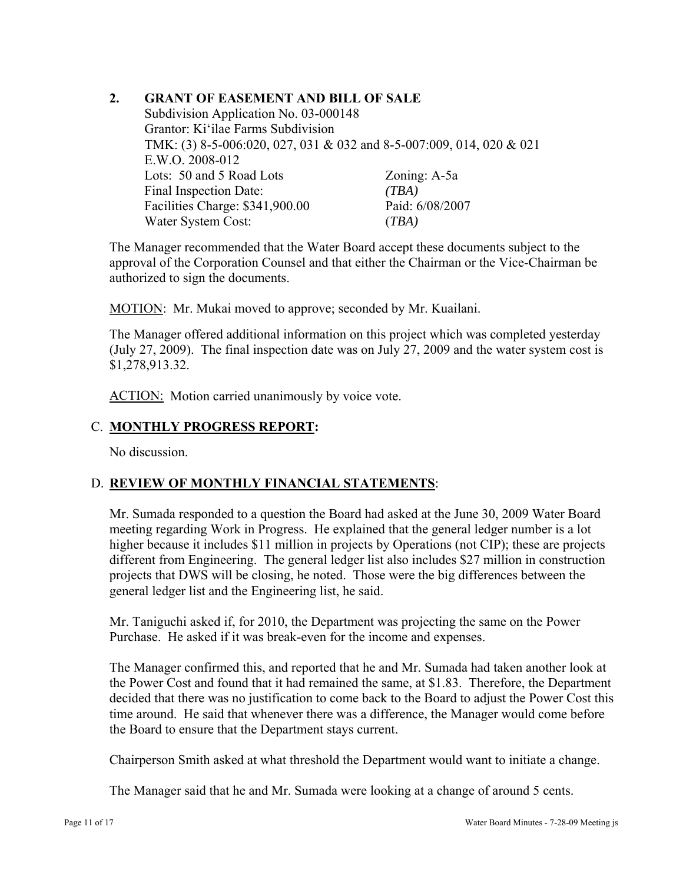### **2. GRANT OF EASEMENT AND BILL OF SALE**

Subdivision Application No. 03-000148 Grantor: Ki'ilae Farms Subdivision TMK: (3) 8-5-006:020, 027, 031 & 032 and 8-5-007:009, 014, 020 & 021 E.W.O. 2008-012 Lots: 50 and 5 Road Lots Zoning: A-5a Final Inspection Date: *(TBA)* Facilities Charge: \$341,900.00 Paid: 6/08/2007 Water System Cost: (*TBA)*

The Manager recommended that the Water Board accept these documents subject to the approval of the Corporation Counsel and that either the Chairman or the Vice-Chairman be authorized to sign the documents.

MOTION: Mr. Mukai moved to approve; seconded by Mr. Kuailani.

The Manager offered additional information on this project which was completed yesterday (July 27, 2009). The final inspection date was on July 27, 2009 and the water system cost is \$1,278,913.32.

ACTION: Motion carried unanimously by voice vote.

### C. **MONTHLY PROGRESS REPORT:**

No discussion.

### D. **REVIEW OF MONTHLY FINANCIAL STATEMENTS**:

Mr. Sumada responded to a question the Board had asked at the June 30, 2009 Water Board meeting regarding Work in Progress. He explained that the general ledger number is a lot higher because it includes \$11 million in projects by Operations (not CIP); these are projects different from Engineering. The general ledger list also includes \$27 million in construction projects that DWS will be closing, he noted. Those were the big differences between the general ledger list and the Engineering list, he said.

Mr. Taniguchi asked if, for 2010, the Department was projecting the same on the Power Purchase. He asked if it was break-even for the income and expenses.

The Manager confirmed this, and reported that he and Mr. Sumada had taken another look at the Power Cost and found that it had remained the same, at \$1.83. Therefore, the Department decided that there was no justification to come back to the Board to adjust the Power Cost this time around. He said that whenever there was a difference, the Manager would come before the Board to ensure that the Department stays current.

Chairperson Smith asked at what threshold the Department would want to initiate a change.

The Manager said that he and Mr. Sumada were looking at a change of around 5 cents.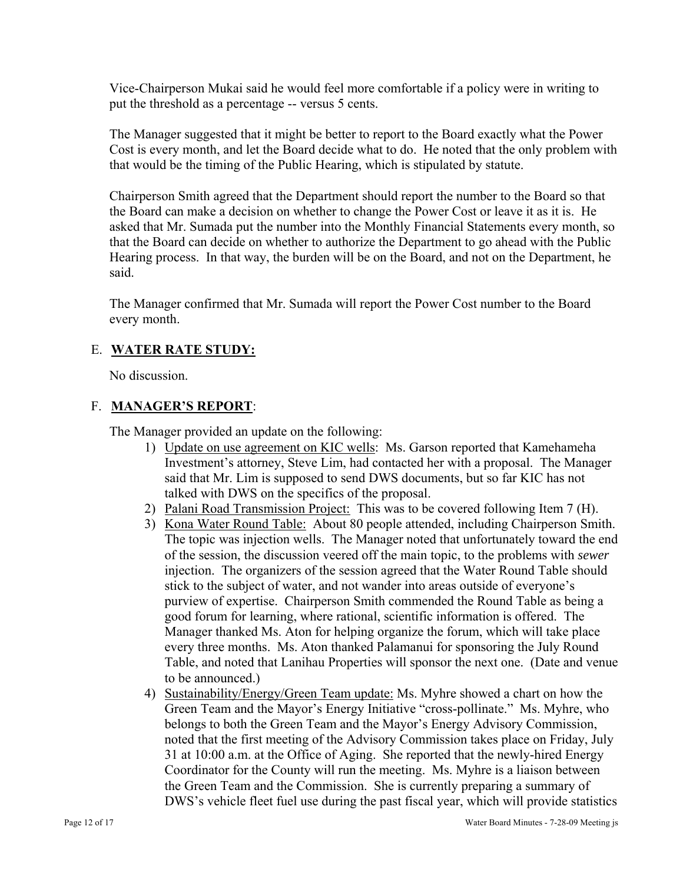Vice-Chairperson Mukai said he would feel more comfortable if a policy were in writing to put the threshold as a percentage -- versus 5 cents.

The Manager suggested that it might be better to report to the Board exactly what the Power Cost is every month, and let the Board decide what to do. He noted that the only problem with that would be the timing of the Public Hearing, which is stipulated by statute.

Chairperson Smith agreed that the Department should report the number to the Board so that the Board can make a decision on whether to change the Power Cost or leave it as it is. He asked that Mr. Sumada put the number into the Monthly Financial Statements every month, so that the Board can decide on whether to authorize the Department to go ahead with the Public Hearing process. In that way, the burden will be on the Board, and not on the Department, he said.

The Manager confirmed that Mr. Sumada will report the Power Cost number to the Board every month.

### E. **WATER RATE STUDY:**

No discussion.

### F. **MANAGER'S REPORT**:

The Manager provided an update on the following:

- 1) Update on use agreement on KIC wells: Ms. Garson reported that Kamehameha Investment's attorney, Steve Lim, had contacted her with a proposal. The Manager said that Mr. Lim is supposed to send DWS documents, but so far KIC has not talked with DWS on the specifics of the proposal.
- 2) Palani Road Transmission Project: This was to be covered following Item 7 (H).
- 3) Kona Water Round Table: About 80 people attended, including Chairperson Smith. The topic was injection wells. The Manager noted that unfortunately toward the end of the session, the discussion veered off the main topic, to the problems with *sewer*  injection. The organizers of the session agreed that the Water Round Table should stick to the subject of water, and not wander into areas outside of everyone's purview of expertise. Chairperson Smith commended the Round Table as being a good forum for learning, where rational, scientific information is offered. The Manager thanked Ms. Aton for helping organize the forum, which will take place every three months. Ms. Aton thanked Palamanui for sponsoring the July Round Table, and noted that Lanihau Properties will sponsor the next one. (Date and venue to be announced.)
- 4) Sustainability/Energy/Green Team update: Ms. Myhre showed a chart on how the Green Team and the Mayor's Energy Initiative "cross-pollinate." Ms. Myhre, who belongs to both the Green Team and the Mayor's Energy Advisory Commission, noted that the first meeting of the Advisory Commission takes place on Friday, July 31 at 10:00 a.m. at the Office of Aging. She reported that the newly-hired Energy Coordinator for the County will run the meeting. Ms. Myhre is a liaison between the Green Team and the Commission. She is currently preparing a summary of DWS's vehicle fleet fuel use during the past fiscal year, which will provide statistics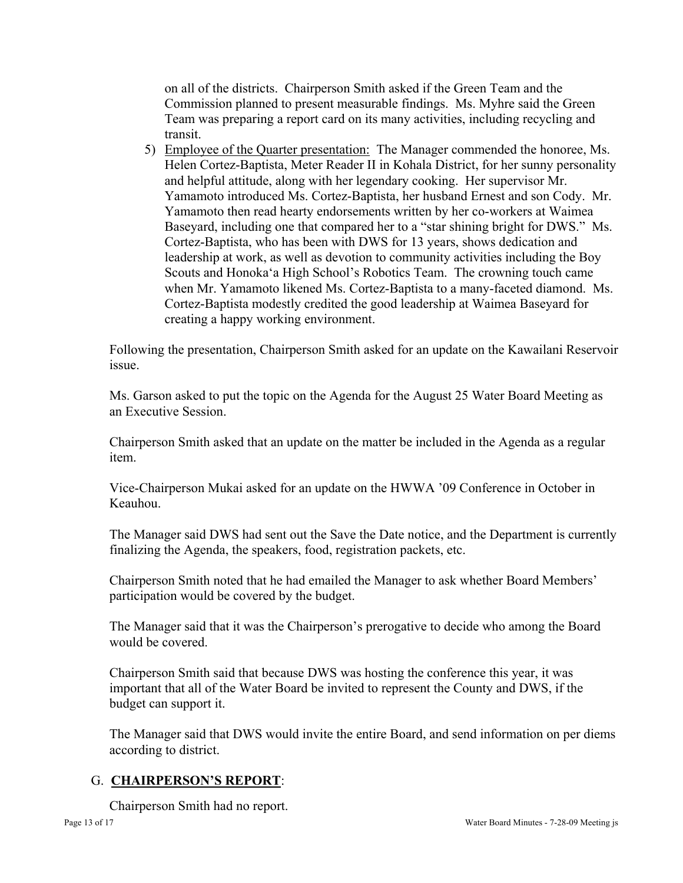on all of the districts. Chairperson Smith asked if the Green Team and the Commission planned to present measurable findings. Ms. Myhre said the Green Team was preparing a report card on its many activities, including recycling and transit.

5) Employee of the Quarter presentation: The Manager commended the honoree, Ms. Helen Cortez-Baptista, Meter Reader II in Kohala District, for her sunny personality and helpful attitude, along with her legendary cooking. Her supervisor Mr. Yamamoto introduced Ms. Cortez-Baptista, her husband Ernest and son Cody. Mr. Yamamoto then read hearty endorsements written by her co-workers at Waimea Baseyard, including one that compared her to a "star shining bright for DWS." Ms. Cortez-Baptista, who has been with DWS for 13 years, shows dedication and leadership at work, as well as devotion to community activities including the Boy Scouts and Honoka'a High School's Robotics Team. The crowning touch came when Mr. Yamamoto likened Ms. Cortez-Baptista to a many-faceted diamond. Ms. Cortez-Baptista modestly credited the good leadership at Waimea Baseyard for creating a happy working environment.

Following the presentation, Chairperson Smith asked for an update on the Kawailani Reservoir issue.

Ms. Garson asked to put the topic on the Agenda for the August 25 Water Board Meeting as an Executive Session.

Chairperson Smith asked that an update on the matter be included in the Agenda as a regular item.

Vice-Chairperson Mukai asked for an update on the HWWA '09 Conference in October in Keauhou.

The Manager said DWS had sent out the Save the Date notice, and the Department is currently finalizing the Agenda, the speakers, food, registration packets, etc.

Chairperson Smith noted that he had emailed the Manager to ask whether Board Members' participation would be covered by the budget.

The Manager said that it was the Chairperson's prerogative to decide who among the Board would be covered.

Chairperson Smith said that because DWS was hosting the conference this year, it was important that all of the Water Board be invited to represent the County and DWS, if the budget can support it.

The Manager said that DWS would invite the entire Board, and send information on per diems according to district.

# G. **CHAIRPERSON'S REPORT**:

Chairperson Smith had no report.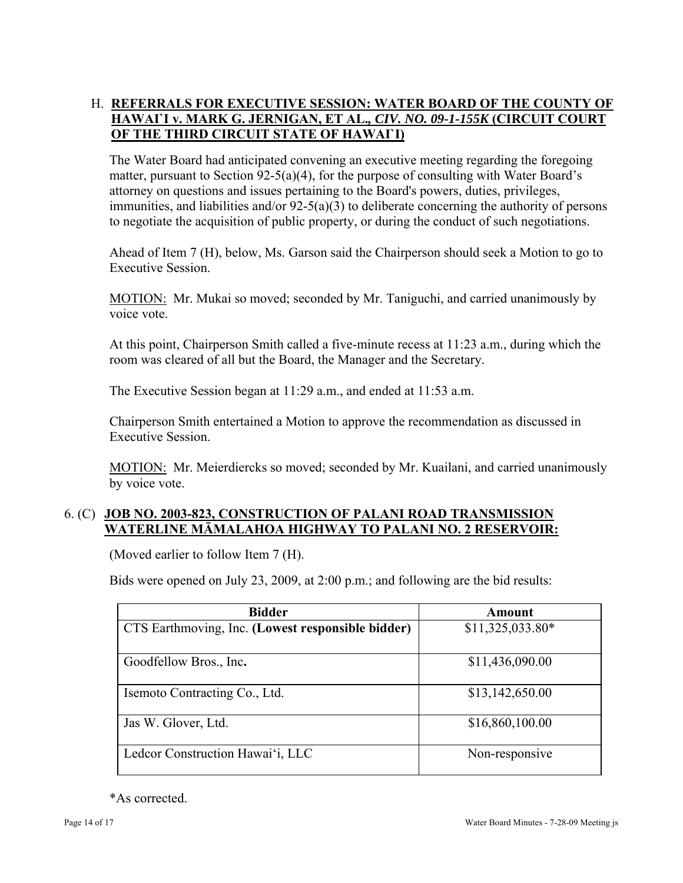# H. **REFERRALS FOR EXECUTIVE SESSION: WATER BOARD OF THE COUNTY OF HAWAI`I v. MARK G. JERNIGAN, ET AL.***, CIV. NO. 09-1-155K* **(CIRCUIT COURT OF THE THIRD CIRCUIT STATE OF HAWAI`I)**

The Water Board had anticipated convening an executive meeting regarding the foregoing matter, pursuant to Section 92-5(a)(4), for the purpose of consulting with Water Board's attorney on questions and issues pertaining to the Board's powers, duties, privileges, immunities, and liabilities and/or 92-5(a)(3) to deliberate concerning the authority of persons to negotiate the acquisition of public property, or during the conduct of such negotiations.

Ahead of Item 7 (H), below, Ms. Garson said the Chairperson should seek a Motion to go to Executive Session.

MOTION: Mr. Mukai so moved; seconded by Mr. Taniguchi, and carried unanimously by voice vote.

At this point, Chairperson Smith called a five-minute recess at 11:23 a.m., during which the room was cleared of all but the Board, the Manager and the Secretary.

The Executive Session began at 11:29 a.m., and ended at 11:53 a.m.

Chairperson Smith entertained a Motion to approve the recommendation as discussed in Executive Session.

MOTION: Mr. Meierdiercks so moved; seconded by Mr. Kuailani, and carried unanimously by voice vote.

### 6. (C) **JOB NO. 2003-823, CONSTRUCTION OF PALANI ROAD TRANSMISSION WATERLINE MĀMALAHOA HIGHWAY TO PALANI NO. 2 RESERVOIR:**

(Moved earlier to follow Item 7 (H).

Bids were opened on July 23, 2009, at 2:00 p.m.; and following are the bid results:

| <b>Bidder</b>                                     | Amount            |
|---------------------------------------------------|-------------------|
| CTS Earthmoving, Inc. (Lowest responsible bidder) | $$11,325,033.80*$ |
| Goodfellow Bros., Inc.                            | \$11,436,090.00   |
| Isemoto Contracting Co., Ltd.                     | \$13,142,650.00   |
| Jas W. Glover, Ltd.                               | \$16,860,100.00   |
| Ledcor Construction Hawai'i, LLC                  | Non-responsive    |

\*As corrected.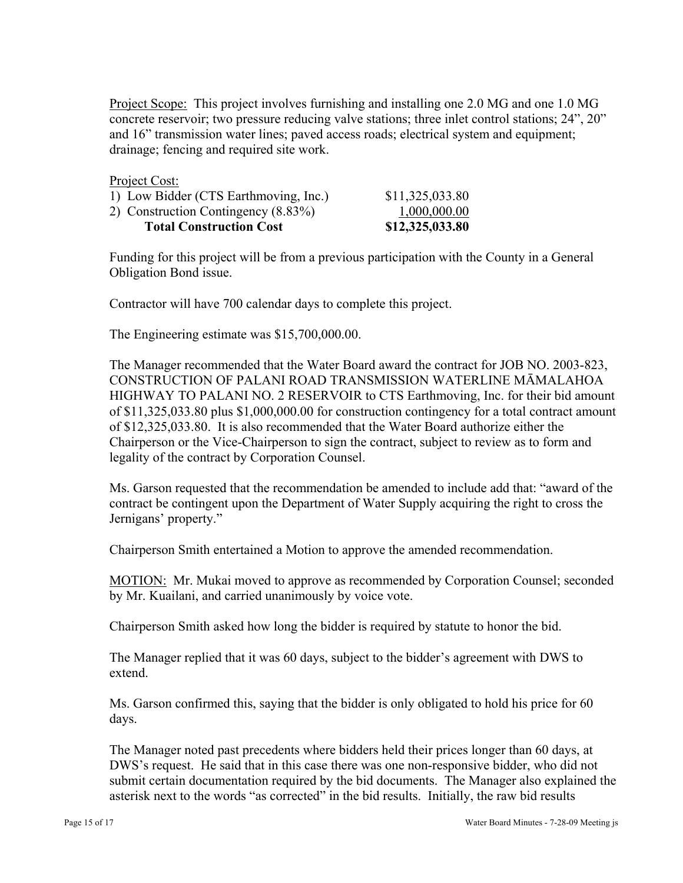Project Scope: This project involves furnishing and installing one 2.0 MG and one 1.0 MG concrete reservoir; two pressure reducing valve stations; three inlet control stations; 24", 20" and 16" transmission water lines; paved access roads; electrical system and equipment; drainage; fencing and required site work.

Project Cost:

| 1) Low Bidder (CTS Earthmoving, Inc.) | \$11,325,033.80 |
|---------------------------------------|-----------------|
| 2) Construction Contingency (8.83%)   | 1,000,000.00    |
| <b>Total Construction Cost</b>        | \$12,325,033.80 |

Funding for this project will be from a previous participation with the County in a General Obligation Bond issue.

Contractor will have 700 calendar days to complete this project.

The Engineering estimate was \$15,700,000.00.

The Manager recommended that the Water Board award the contract for JOB NO. 2003-823, CONSTRUCTION OF PALANI ROAD TRANSMISSION WATERLINE MĀMALAHOA HIGHWAY TO PALANI NO. 2 RESERVOIR to CTS Earthmoving, Inc. for their bid amount of \$11,325,033.80 plus \$1,000,000.00 for construction contingency for a total contract amount of \$12,325,033.80. It is also recommended that the Water Board authorize either the Chairperson or the Vice-Chairperson to sign the contract, subject to review as to form and legality of the contract by Corporation Counsel.

Ms. Garson requested that the recommendation be amended to include add that: "award of the contract be contingent upon the Department of Water Supply acquiring the right to cross the Jernigans' property."

Chairperson Smith entertained a Motion to approve the amended recommendation.

MOTION: Mr. Mukai moved to approve as recommended by Corporation Counsel; seconded by Mr. Kuailani, and carried unanimously by voice vote.

Chairperson Smith asked how long the bidder is required by statute to honor the bid.

The Manager replied that it was 60 days, subject to the bidder's agreement with DWS to extend.

Ms. Garson confirmed this, saying that the bidder is only obligated to hold his price for 60 days.

The Manager noted past precedents where bidders held their prices longer than 60 days, at DWS's request. He said that in this case there was one non-responsive bidder, who did not submit certain documentation required by the bid documents. The Manager also explained the asterisk next to the words "as corrected" in the bid results. Initially, the raw bid results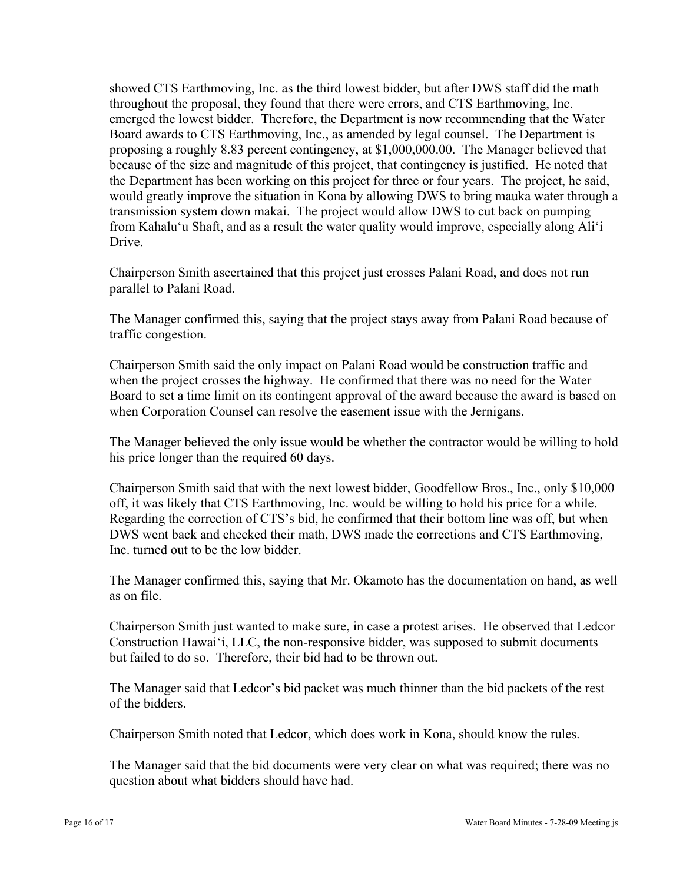showed CTS Earthmoving, Inc. as the third lowest bidder, but after DWS staff did the math throughout the proposal, they found that there were errors, and CTS Earthmoving, Inc. emerged the lowest bidder. Therefore, the Department is now recommending that the Water Board awards to CTS Earthmoving, Inc., as amended by legal counsel. The Department is proposing a roughly 8.83 percent contingency, at \$1,000,000.00. The Manager believed that because of the size and magnitude of this project, that contingency is justified. He noted that the Department has been working on this project for three or four years. The project, he said, would greatly improve the situation in Kona by allowing DWS to bring mauka water through a transmission system down makai. The project would allow DWS to cut back on pumping from Kahalu'u Shaft, and as a result the water quality would improve, especially along Ali'i Drive.

Chairperson Smith ascertained that this project just crosses Palani Road, and does not run parallel to Palani Road.

The Manager confirmed this, saying that the project stays away from Palani Road because of traffic congestion.

Chairperson Smith said the only impact on Palani Road would be construction traffic and when the project crosses the highway. He confirmed that there was no need for the Water Board to set a time limit on its contingent approval of the award because the award is based on when Corporation Counsel can resolve the easement issue with the Jernigans.

The Manager believed the only issue would be whether the contractor would be willing to hold his price longer than the required 60 days.

Chairperson Smith said that with the next lowest bidder, Goodfellow Bros., Inc., only \$10,000 off, it was likely that CTS Earthmoving, Inc. would be willing to hold his price for a while. Regarding the correction of CTS's bid, he confirmed that their bottom line was off, but when DWS went back and checked their math, DWS made the corrections and CTS Earthmoving, Inc. turned out to be the low bidder.

The Manager confirmed this, saying that Mr. Okamoto has the documentation on hand, as well as on file.

Chairperson Smith just wanted to make sure, in case a protest arises. He observed that Ledcor Construction Hawai'i, LLC, the non-responsive bidder, was supposed to submit documents but failed to do so. Therefore, their bid had to be thrown out.

The Manager said that Ledcor's bid packet was much thinner than the bid packets of the rest of the bidders.

Chairperson Smith noted that Ledcor, which does work in Kona, should know the rules.

The Manager said that the bid documents were very clear on what was required; there was no question about what bidders should have had.